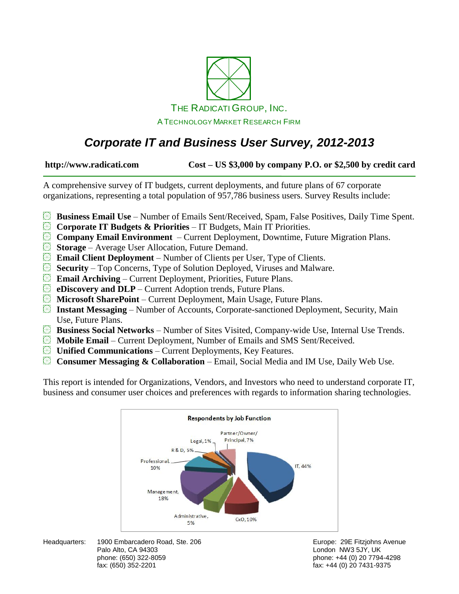

### *Corporate IT and Business User Survey, 2012-2013*

**http://www.radicati.com Cost – US \$3,000 by company P.O. or \$2,500 by credit card**

A comprehensive survey of IT budgets, current deployments, and future plans of 67 corporate organizations, representing a total population of 957,786 business users. Survey Results include:

- **Business Email Use** Number of Emails Sent/Received, Spam, False Positives, Daily Time Spent.
- **Corporate IT Budgets & Priorities** IT Budgets, Main IT Priorities.
- **Company Email Environment** Current Deployment, Downtime, Future Migration Plans.
- **Storage** Average User Allocation, Future Demand.
- **Email Client Deployment** Number of Clients per User, Type of Clients.
- **Security**  Top Concerns, Type of Solution Deployed, Viruses and Malware.
- **Email Archiving** Current Deployment, Priorities, Future Plans.
- **EDiscovery and DLP** Current Adoption trends, Future Plans.
- **Microsoft SharePoint** Current Deployment, Main Usage, Future Plans.
- **Instant Messaging** Number of Accounts, Corporate-sanctioned Deployment, Security, Main Use, Future Plans.
- **Business Social Networks**  Number of Sites Visited, Company-wide Use, Internal Use Trends.
- **Mobile Email**  Current Deployment, Number of Emails and SMS Sent/Received.
- **Unified Communications**  Current Deployments, Key Features.
- **Consumer Messaging & Collaboration** Email, Social Media and IM Use, Daily Web Use.

This report is intended for Organizations, Vendors, and Investors who need to understand corporate IT, business and consumer user choices and preferences with regards to information sharing technologies.



Headquarters: 1900 Embarcadero Road, Ste. 206 **Europe: 29 Europe: 29E Fitzjohns Avenue** Palo Alto, CA 94303 **Discretion CA 1988** London NW3 5JY, UK phone: (650) 322-8059 phone: +44 (0) 20 7794-4298

 $fax: +44(0)$  20 7431-9375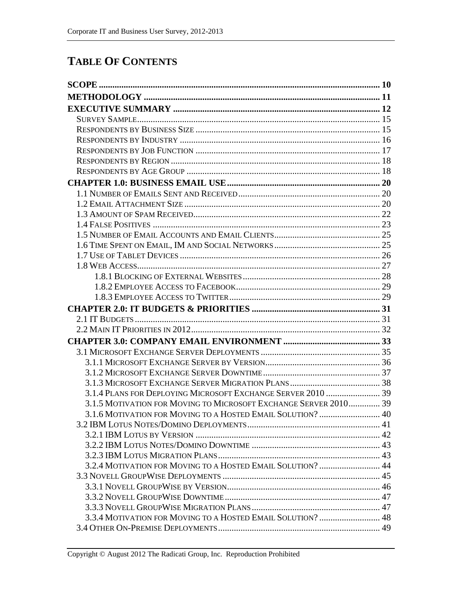# **TABLE OF CONTENTS**

| 3.1.4 PLANS FOR DEPLOYING MICROSOFT EXCHANGE SERVER 2010  39     |  |
|------------------------------------------------------------------|--|
| 3.1.5 MOTIVATION FOR MOVING TO MICROSOFT EXCHANGE SERVER 2010 39 |  |
| 3.1.6 MOTIVATION FOR MOVING TO A HOSTED EMAIL SOLUTION?  40      |  |
|                                                                  |  |
|                                                                  |  |
|                                                                  |  |
|                                                                  |  |
| 3.2.4 MOTIVATION FOR MOVING TO A HOSTED EMAIL SOLUTION?  44      |  |
|                                                                  |  |
|                                                                  |  |
|                                                                  |  |
|                                                                  |  |
| 3.3.4 MOTIVATION FOR MOVING TO A HOSTED EMAIL SOLUTION?  48      |  |
|                                                                  |  |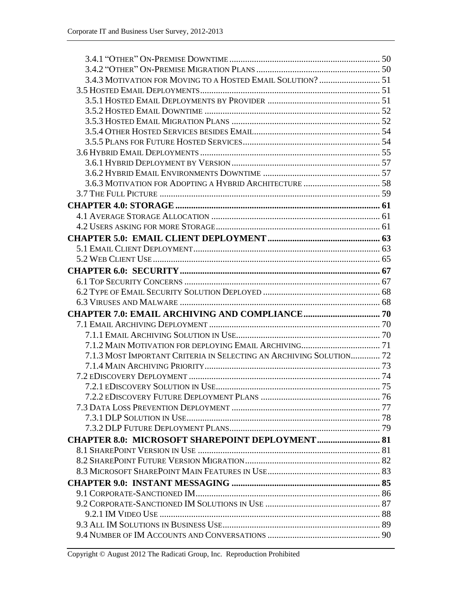| 7.1.3 MOST IMPORTANT CRITERIA IN SELECTING AN ARCHIVING SOLUTION 72 |  |
|---------------------------------------------------------------------|--|
|                                                                     |  |
|                                                                     |  |
|                                                                     |  |
|                                                                     |  |
|                                                                     |  |
|                                                                     |  |
|                                                                     |  |
| <b>CHAPTER 8.0: MICROSOFT SHAREPOINT DEPLOYMENT 81</b>              |  |
|                                                                     |  |
|                                                                     |  |
|                                                                     |  |
|                                                                     |  |
|                                                                     |  |
|                                                                     |  |
|                                                                     |  |
|                                                                     |  |
|                                                                     |  |
|                                                                     |  |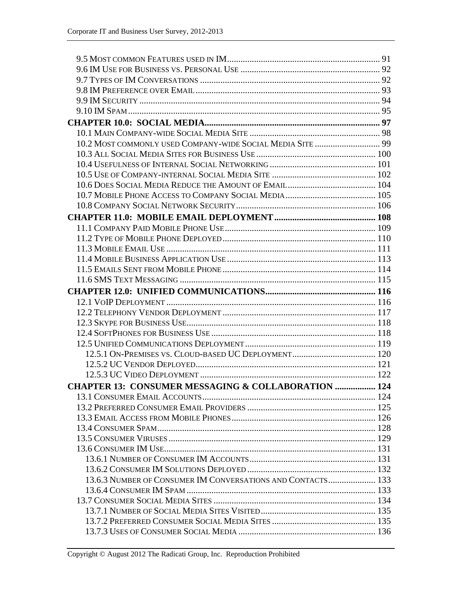| <b>CHAPTER 13: CONSUMER MESSAGING &amp; COLLABORATION  124</b> |  |
|----------------------------------------------------------------|--|
|                                                                |  |
|                                                                |  |
|                                                                |  |
|                                                                |  |
|                                                                |  |
|                                                                |  |
|                                                                |  |
|                                                                |  |
| 13.6.3 NUMBER OF CONSUMER IM CONVERSATIONS AND CONTACTS 133    |  |
|                                                                |  |
|                                                                |  |
|                                                                |  |
|                                                                |  |
|                                                                |  |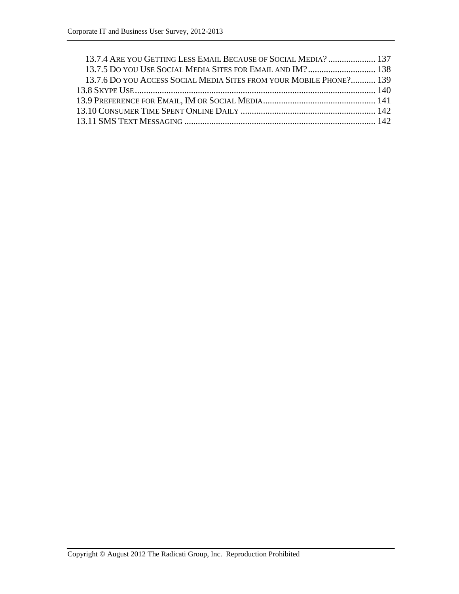| 13.7.4 ARE YOU GETTING LESS EMAIL BECAUSE OF SOCIAL MEDIA?  137     |  |
|---------------------------------------------------------------------|--|
| 13.7.5 DO YOU USE SOCIAL MEDIA SITES FOR EMAIL AND IM? 138          |  |
| 13.7.6 DO YOU ACCESS SOCIAL MEDIA SITES FROM YOUR MOBILE PHONE? 139 |  |
|                                                                     |  |
|                                                                     |  |
|                                                                     |  |
|                                                                     |  |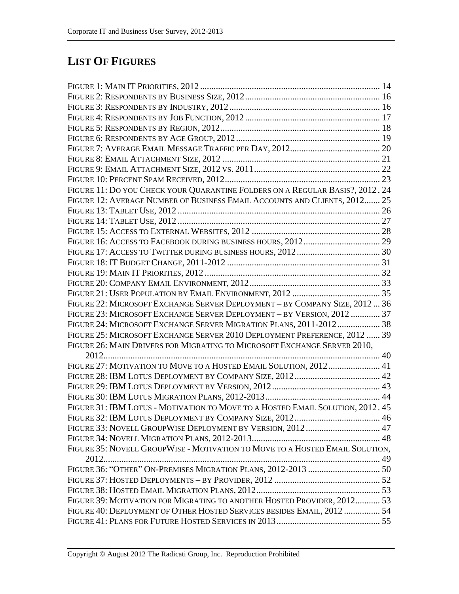# **LIST OF FIGURES**

| FIGURE 11: DO YOU CHECK YOUR QUARANTINE FOLDERS ON A REGULAR BASIS?, 2012. 24  |  |
|--------------------------------------------------------------------------------|--|
| FIGURE 12: AVERAGE NUMBER OF BUSINESS EMAIL ACCOUNTS AND CLIENTS, 2012 25      |  |
|                                                                                |  |
|                                                                                |  |
|                                                                                |  |
|                                                                                |  |
|                                                                                |  |
|                                                                                |  |
|                                                                                |  |
|                                                                                |  |
|                                                                                |  |
| FIGURE 22: MICROSOFT EXCHANGE SERVER DEPLOYMENT - BY COMPANY SIZE, 2012  36    |  |
| FIGURE 23: MICROSOFT EXCHANGE SERVER DEPLOYMENT - BY VERSION, 2012  37         |  |
| FIGURE 24: MICROSOFT EXCHANGE SERVER MIGRATION PLANS, 2011-2012 38             |  |
| FIGURE 25: MICROSOFT EXCHANGE SERVER 2010 DEPLOYMENT PREFERENCE, 2012  39      |  |
| FIGURE 26: MAIN DRIVERS FOR MIGRATING TO MICROSOFT EXCHANGE SERVER 2010,       |  |
|                                                                                |  |
| FIGURE 27: MOTIVATION TO MOVE TO A HOSTED EMAIL SOLUTION, 2012 41              |  |
|                                                                                |  |
|                                                                                |  |
|                                                                                |  |
| FIGURE 31: IBM LOTUS - MOTIVATION TO MOVE TO A HOSTED EMAIL SOLUTION, 2012. 45 |  |
|                                                                                |  |
| FIGURE 33: NOVELL GROUPWISE DEPLOYMENT BY VERSION, 2012 47                     |  |
|                                                                                |  |
| FIGURE 35: NOVELL GROUPWISE - MOTIVATION TO MOVE TO A HOSTED EMAIL SOLUTION,   |  |
| 2012                                                                           |  |
|                                                                                |  |
|                                                                                |  |
|                                                                                |  |
| FIGURE 39: MOTIVATION FOR MIGRATING TO ANOTHER HOSTED PROVIDER, 2012 53        |  |
| FIGURE 40: DEPLOYMENT OF OTHER HOSTED SERVICES BESIDES EMAIL, 2012  54         |  |
|                                                                                |  |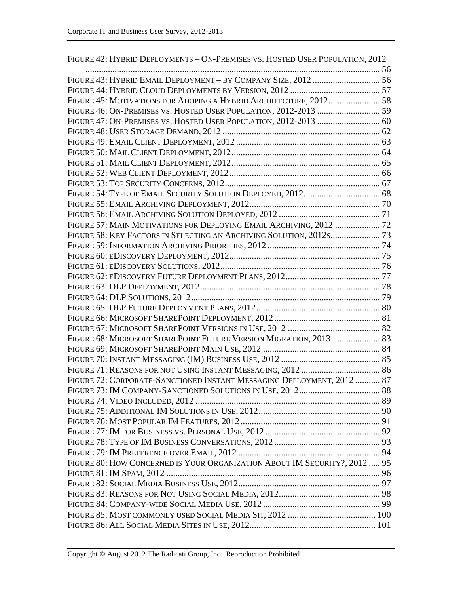FIGURE 42: HYBRID DEPLOYMENTS – ON-PREMISES VS. HOSTED USER POPULATION, 2012

| FIGURE 43: HYBRID EMAIL DEPLOYMENT - BY COMPANY SIZE, 2012  56             |     |
|----------------------------------------------------------------------------|-----|
|                                                                            |     |
| FIGURE 45: MOTIVATIONS FOR ADOPING A HYBRID ARCHITECTURE, 2012 58          |     |
|                                                                            |     |
|                                                                            |     |
|                                                                            |     |
|                                                                            |     |
|                                                                            |     |
|                                                                            |     |
|                                                                            |     |
|                                                                            |     |
|                                                                            |     |
|                                                                            |     |
|                                                                            |     |
| FIGURE 57: MAIN MOTIVATIONS FOR DEPLOYING EMAIL ARCHIVING, 2012  72        |     |
| FIGURE 58: KEY FACTORS IN SELECTING AN ARCHIVING SOLUTION, 2012S 73        |     |
|                                                                            |     |
|                                                                            |     |
|                                                                            |     |
|                                                                            |     |
|                                                                            |     |
|                                                                            |     |
|                                                                            |     |
|                                                                            |     |
|                                                                            |     |
| FIGURE 68: MICROSOFT SHAREPOINT FUTURE VERSION MIGRATION, 2013  83         |     |
|                                                                            |     |
|                                                                            |     |
|                                                                            |     |
| FIGURE 72: CORPORATE-SANCTIONED INSTANT MESSAGING DEPLOYMENT, 2012  87     |     |
|                                                                            |     |
| FIGURE 74: VIDEO INCLUDED, 2012                                            | .89 |
|                                                                            |     |
|                                                                            |     |
|                                                                            |     |
|                                                                            |     |
|                                                                            |     |
| FIGURE 80: HOW CONCERNED IS YOUR ORGANIZATION ABOUT IM SECURITY?, 2012  95 |     |
|                                                                            |     |
|                                                                            |     |
|                                                                            |     |
|                                                                            |     |
|                                                                            |     |
|                                                                            |     |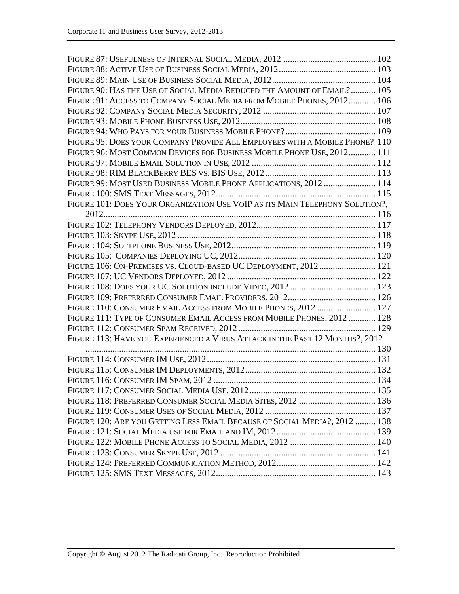| FIGURE 90: HAS THE USE OF SOCIAL MEDIA REDUCED THE AMOUNT OF EMAIL? 105      |  |
|------------------------------------------------------------------------------|--|
| FIGURE 91: ACCESS TO COMPANY SOCIAL MEDIA FROM MOBILE PHONES, 2012 106       |  |
|                                                                              |  |
|                                                                              |  |
|                                                                              |  |
| FIGURE 95: DOES YOUR COMPANY PROVIDE ALL EMPLOYEES WITH A MOBILE PHONE? 110  |  |
| FIGURE 96: MOST COMMON DEVICES FOR BUSINESS MOBILE PHONE USE, 2012 111       |  |
|                                                                              |  |
|                                                                              |  |
| FIGURE 99: MOST USED BUSINESS MOBILE PHONE APPLICATIONS, 2012  114           |  |
|                                                                              |  |
| FIGURE 101: DOES YOUR ORGANIZATION USE VOIP AS ITS MAIN TELEPHONY SOLUTION?, |  |
|                                                                              |  |
|                                                                              |  |
|                                                                              |  |
|                                                                              |  |
|                                                                              |  |
| FIGURE 106: ON-PREMISES VS. CLOUD-BASED UC DEPLOYMENT, 2012 121              |  |
|                                                                              |  |
|                                                                              |  |
|                                                                              |  |
| FIGURE 110: CONSUMER EMAIL ACCESS FROM MOBILE PHONES, 2012  127              |  |
| FIGURE 111: TYPE OF CONSUMER EMAIL ACCESS FROM MOBILE PHONES, 2012  128      |  |
|                                                                              |  |
| FIGURE 113: HAVE YOU EXPERIENCED A VIRUS ATTACK IN THE PAST 12 MONTHS?, 2012 |  |
|                                                                              |  |
|                                                                              |  |
|                                                                              |  |
|                                                                              |  |
|                                                                              |  |
| FIGURE 118: PREFERRED CONSUMER SOCIAL MEDIA SITES, 2012  136                 |  |
|                                                                              |  |
| FIGURE 120: ARE YOU GETTING LESS EMAIL BECAUSE OF SOCIAL MEDIA?, 2012  138   |  |
|                                                                              |  |
|                                                                              |  |
|                                                                              |  |
|                                                                              |  |
|                                                                              |  |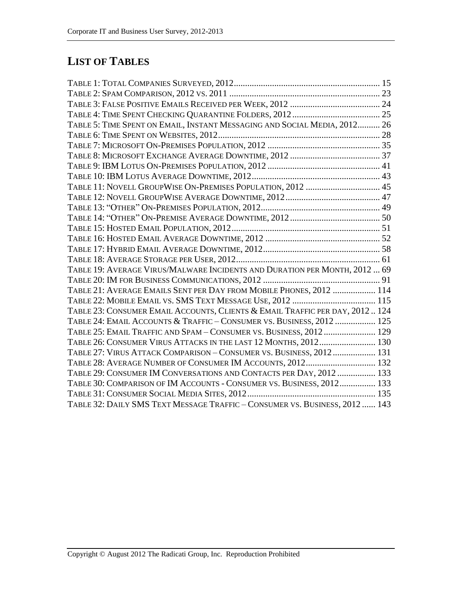# **LIST OF TABLES**

| TABLE 5: TIME SPENT ON EMAIL, INSTANT MESSAGING AND SOCIAL MEDIA, 2012 26    |  |
|------------------------------------------------------------------------------|--|
|                                                                              |  |
|                                                                              |  |
|                                                                              |  |
|                                                                              |  |
|                                                                              |  |
| TABLE 11: NOVELL GROUPWISE ON-PREMISES POPULATION, 2012  45                  |  |
|                                                                              |  |
|                                                                              |  |
|                                                                              |  |
|                                                                              |  |
|                                                                              |  |
|                                                                              |  |
|                                                                              |  |
| TABLE 19: AVERAGE VIRUS/MALWARE INCIDENTS AND DURATION PER MONTH, 2012  69   |  |
|                                                                              |  |
| TABLE 21: AVERAGE EMAILS SENT PER DAY FROM MOBILE PHONES, 2012  114          |  |
|                                                                              |  |
| TABLE 23: CONSUMER EMAIL ACCOUNTS, CLIENTS & EMAIL TRAFFIC PER DAY, 2012 124 |  |
| TABLE 24: EMAIL ACCOUNTS & TRAFFIC - CONSUMER VS. BUSINESS, 2012  125        |  |
| TABLE 25: EMAIL TRAFFIC AND SPAM - CONSUMER VS. BUSINESS, 2012  129          |  |
| TABLE 26: CONSUMER VIRUS ATTACKS IN THE LAST 12 MONTHS, 2012 130             |  |
| TABLE 27: VIRUS ATTACK COMPARISON - CONSUMER VS. BUSINESS, 2012 131          |  |
| TABLE 28: AVERAGE NUMBER OF CONSUMER IM ACCOUNTS, 2012 132                   |  |
| TABLE 29: CONSUMER IM CONVERSATIONS AND CONTACTS PER DAY, 2012  133          |  |
| TABLE 30: COMPARISON OF IM ACCOUNTS - CONSUMER VS. BUSINESS, 2012 133        |  |
|                                                                              |  |
| TABLE 32: DAILY SMS TEXT MESSAGE TRAFFIC - CONSUMER VS. BUSINESS, 2012  143  |  |